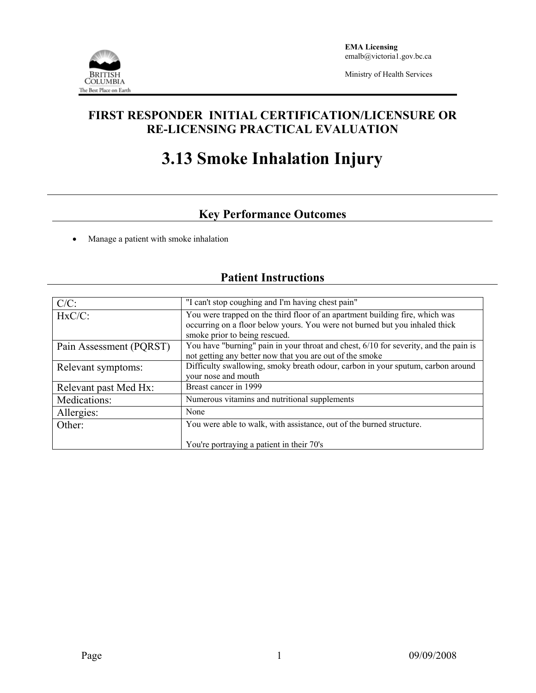

Ministry of Health Services

## **FIRST RESPONDER INITIAL CERTIFICATION/LICENSURE OR RE-LICENSING PRACTICAL EVALUATION**

# **3.13 Smoke Inhalation Injury**

# **Key Performance Outcomes**

• Manage a patient with smoke inhalation

## **Patient Instructions**

| $C/C$ :                 | "I can't stop coughing and I'm having chest pain"                                                                                                                                            |
|-------------------------|----------------------------------------------------------------------------------------------------------------------------------------------------------------------------------------------|
| $HxC/C$ :               | You were trapped on the third floor of an apartment building fire, which was<br>occurring on a floor below yours. You were not burned but you inhaled thick<br>smoke prior to being rescued. |
| Pain Assessment (PQRST) | You have "burning" pain in your throat and chest, 6/10 for severity, and the pain is<br>not getting any better now that you are out of the smoke                                             |
| Relevant symptoms:      | Difficulty swallowing, smoky breath odour, carbon in your sputum, carbon around<br>your nose and mouth                                                                                       |
| Relevant past Med Hx:   | Breast cancer in 1999                                                                                                                                                                        |
| Medications:            | Numerous vitamins and nutritional supplements                                                                                                                                                |
| Allergies:              | None                                                                                                                                                                                         |
| Other:                  | You were able to walk, with assistance, out of the burned structure.                                                                                                                         |
|                         | You're portraying a patient in their 70's                                                                                                                                                    |